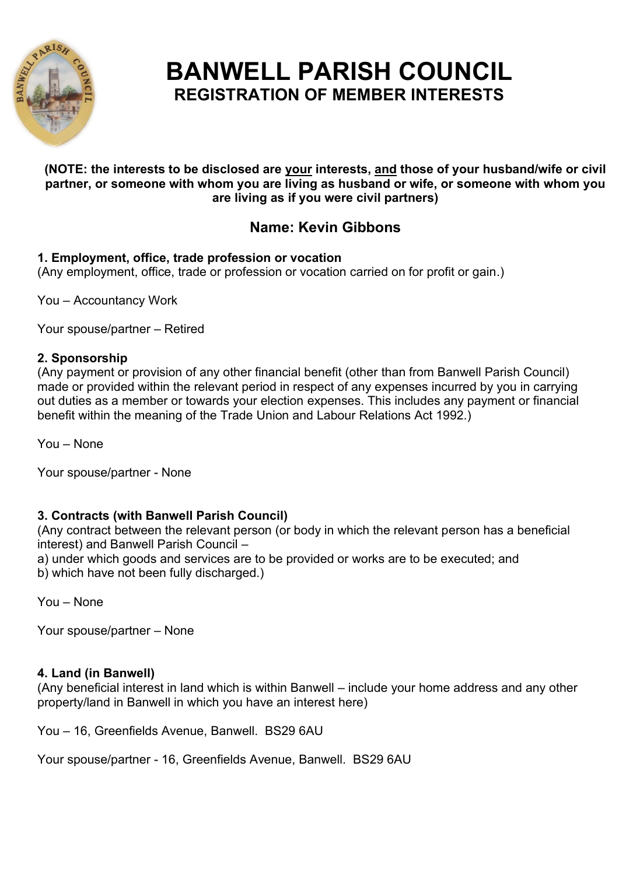

# **BANWELL PARISH COUNCIL REGISTRATION OF MEMBER INTERESTS**

#### **(NOTE: the interests to be disclosed are your interests, and those of your husband/wife or civil partner, or someone with whom you are living as husband or wife, or someone with whom you are living as if you were civil partners)**

# **Name: Kevin Gibbons**

## **1. Employment, office, trade profession or vocation**

(Any employment, office, trade or profession or vocation carried on for profit or gain.)

You – Accountancy Work

Your spouse/partner – Retired

### **2. Sponsorship**

(Any payment or provision of any other financial benefit (other than from Banwell Parish Council) made or provided within the relevant period in respect of any expenses incurred by you in carrying out duties as a member or towards your election expenses. This includes any payment or financial benefit within the meaning of the Trade Union and Labour Relations Act 1992.)

You – None

Your spouse/partner - None

### **3. Contracts (with Banwell Parish Council)**

(Any contract between the relevant person (or body in which the relevant person has a beneficial interest) and Banwell Parish Council –

a) under which goods and services are to be provided or works are to be executed; and

b) which have not been fully discharged.)

You – None

Your spouse/partner – None

### **4. Land (in Banwell)**

(Any beneficial interest in land which is within Banwell – include your home address and any other property/land in Banwell in which you have an interest here)

You – 16, Greenfields Avenue, Banwell. BS29 6AU

Your spouse/partner - 16, Greenfields Avenue, Banwell. BS29 6AU